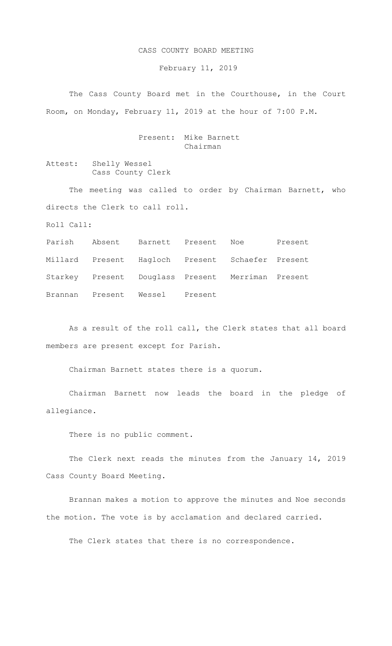## CASS COUNTY BOARD MEETING

February 11, 2019

The Cass County Board met in the Courthouse, in the Court Room, on Monday, February 11, 2019 at the hour of 7:00 P.M.

## Present: Mike Barnett Chairman

Attest: Shelly Wessel Cass County Clerk

The meeting was called to order by Chairman Barnett, who directs the Clerk to call roll.

Roll Call:

Parish Absent Barnett Present Noe Present Millard Present Hagloch Present Schaefer Present Starkey Present Douglass Present Merriman Present Brannan Present Wessel Present

As a result of the roll call, the Clerk states that all board members are present except for Parish.

Chairman Barnett states there is a quorum.

Chairman Barnett now leads the board in the pledge of allegiance.

There is no public comment.

The Clerk next reads the minutes from the January 14, 2019 Cass County Board Meeting.

Brannan makes a motion to approve the minutes and Noe seconds the motion. The vote is by acclamation and declared carried.

The Clerk states that there is no correspondence.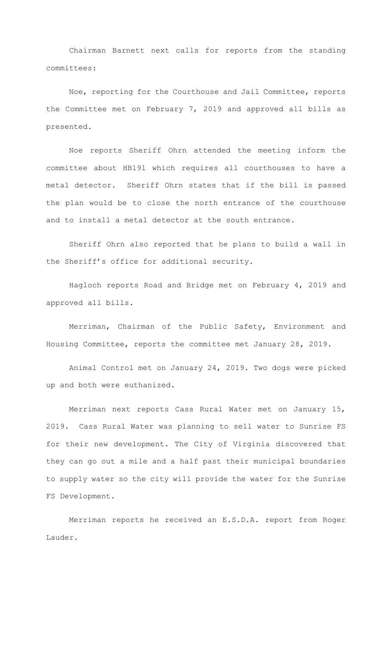Chairman Barnett next calls for reports from the standing committees:

Noe, reporting for the Courthouse and Jail Committee, reports the Committee met on February 7, 2019 and approved all bills as presented.

Noe reports Sheriff Ohrn attended the meeting inform the committee about HB191 which requires all courthouses to have a metal detector. Sheriff Ohrn states that if the bill is passed the plan would be to close the north entrance of the courthouse and to install a metal detector at the south entrance.

Sheriff Ohrn also reported that he plans to build a wall in the Sheriff's office for additional security.

Hagloch reports Road and Bridge met on February 4, 2019 and approved all bills.

 Merriman, Chairman of the Public Safety, Environment and Housing Committee, reports the committee met January 28, 2019.

Animal Control met on January 24, 2019. Two dogs were picked up and both were euthanized.

Merriman next reports Cass Rural Water met on January 15, 2019. Cass Rural Water was planning to sell water to Sunrise FS for their new development. The City of Virginia discovered that they can go out a mile and a half past their municipal boundaries to supply water so the city will provide the water for the Sunrise FS Development.

Merriman reports he received an E.S.D.A. report from Roger Lauder.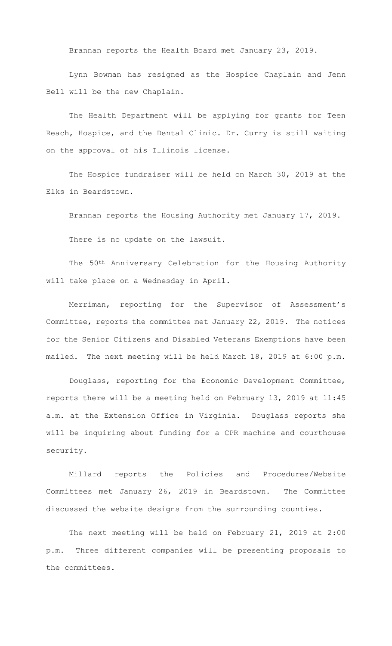Brannan reports the Health Board met January 23, 2019.

Lynn Bowman has resigned as the Hospice Chaplain and Jenn Bell will be the new Chaplain.

The Health Department will be applying for grants for Teen Reach, Hospice, and the Dental Clinic. Dr. Curry is still waiting on the approval of his Illinois license.

The Hospice fundraiser will be held on March 30, 2019 at the Elks in Beardstown.

Brannan reports the Housing Authority met January 17, 2019. There is no update on the lawsuit.

The 50th Anniversary Celebration for the Housing Authority will take place on a Wednesday in April.

Merriman, reporting for the Supervisor of Assessment's Committee, reports the committee met January 22, 2019. The notices for the Senior Citizens and Disabled Veterans Exemptions have been mailed. The next meeting will be held March 18, 2019 at 6:00 p.m.

Douglass, reporting for the Economic Development Committee, reports there will be a meeting held on February 13, 2019 at 11:45 a.m. at the Extension Office in Virginia. Douglass reports she will be inquiring about funding for a CPR machine and courthouse security.

Millard reports the Policies and Procedures/Website Committees met January 26, 2019 in Beardstown. The Committee discussed the website designs from the surrounding counties.

The next meeting will be held on February 21, 2019 at 2:00 p.m. Three different companies will be presenting proposals to the committees.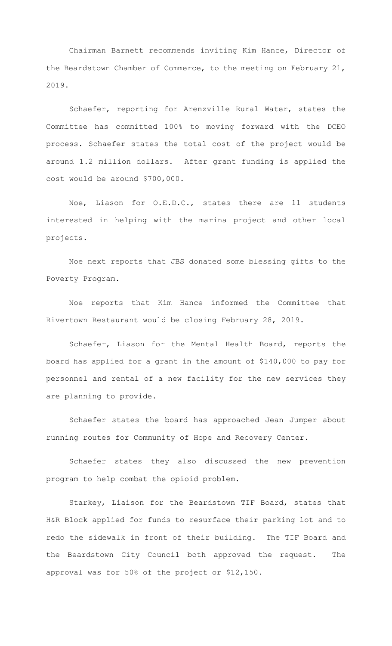Chairman Barnett recommends inviting Kim Hance, Director of the Beardstown Chamber of Commerce, to the meeting on February 21, 2019.

Schaefer, reporting for Arenzville Rural Water, states the Committee has committed 100% to moving forward with the DCEO process. Schaefer states the total cost of the project would be around 1.2 million dollars. After grant funding is applied the cost would be around \$700,000.

Noe, Liason for O.E.D.C., states there are 11 students interested in helping with the marina project and other local projects.

Noe next reports that JBS donated some blessing gifts to the Poverty Program.

Noe reports that Kim Hance informed the Committee that Rivertown Restaurant would be closing February 28, 2019.

Schaefer, Liason for the Mental Health Board, reports the board has applied for a grant in the amount of \$140,000 to pay for personnel and rental of a new facility for the new services they are planning to provide.

Schaefer states the board has approached Jean Jumper about running routes for Community of Hope and Recovery Center.

Schaefer states they also discussed the new prevention program to help combat the opioid problem.

Starkey, Liaison for the Beardstown TIF Board, states that H&R Block applied for funds to resurface their parking lot and to redo the sidewalk in front of their building. The TIF Board and the Beardstown City Council both approved the request. The approval was for 50% of the project or \$12,150.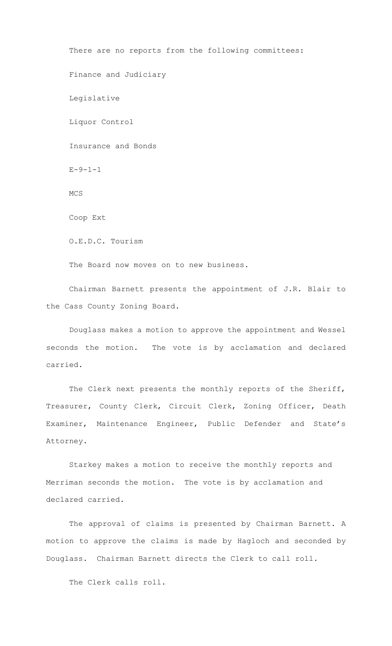There are no reports from the following committees: Finance and Judiciary Legislative Liquor Control Insurance and Bonds  $E - 9 - 1 - 1$ MCS Coop Ext O.E.D.C. Tourism The Board now moves on to new business. Chairman Barnett presents the appointment of J.R. Blair to

Douglass makes a motion to approve the appointment and Wessel seconds the motion. The vote is by acclamation and declared carried.

The Clerk next presents the monthly reports of the Sheriff, Treasurer, County Clerk, Circuit Clerk, Zoning Officer, Death Examiner, Maintenance Engineer, Public Defender and State's Attorney.

Starkey makes a motion to receive the monthly reports and Merriman seconds the motion. The vote is by acclamation and declared carried.

The approval of claims is presented by Chairman Barnett. A motion to approve the claims is made by Hagloch and seconded by Douglass. Chairman Barnett directs the Clerk to call roll.

The Clerk calls roll.

the Cass County Zoning Board.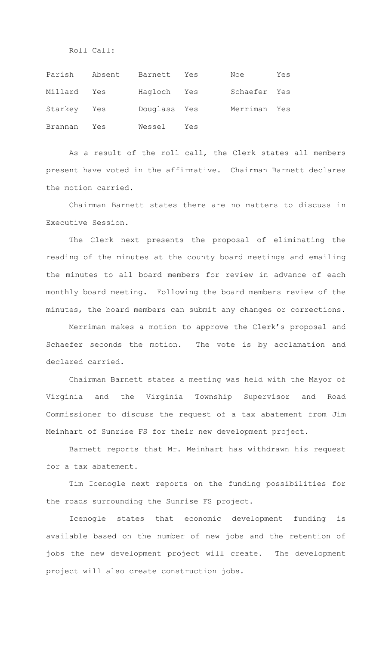## Roll Call:

| Parish      | Absent | Barnett      | Yes | Noe          | Yes |
|-------------|--------|--------------|-----|--------------|-----|
| Millard Yes |        | Hagloch Yes  |     | Schaefer Yes |     |
| Starkey Yes |        | Douglass Yes |     | Merriman Yes |     |
| Brannan     | Yes    | Wessel       | Yes |              |     |

As a result of the roll call, the Clerk states all members present have voted in the affirmative. Chairman Barnett declares the motion carried.

Chairman Barnett states there are no matters to discuss in Executive Session.

The Clerk next presents the proposal of eliminating the reading of the minutes at the county board meetings and emailing the minutes to all board members for review in advance of each monthly board meeting. Following the board members review of the minutes, the board members can submit any changes or corrections.

 Merriman makes a motion to approve the Clerk's proposal and Schaefer seconds the motion. The vote is by acclamation and declared carried.

Chairman Barnett states a meeting was held with the Mayor of Virginia and the Virginia Township Supervisor and Road Commissioner to discuss the request of a tax abatement from Jim Meinhart of Sunrise FS for their new development project.

Barnett reports that Mr. Meinhart has withdrawn his request for a tax abatement.

Tim Icenogle next reports on the funding possibilities for the roads surrounding the Sunrise FS project.

Icenogle states that economic development funding is available based on the number of new jobs and the retention of jobs the new development project will create. The development project will also create construction jobs.